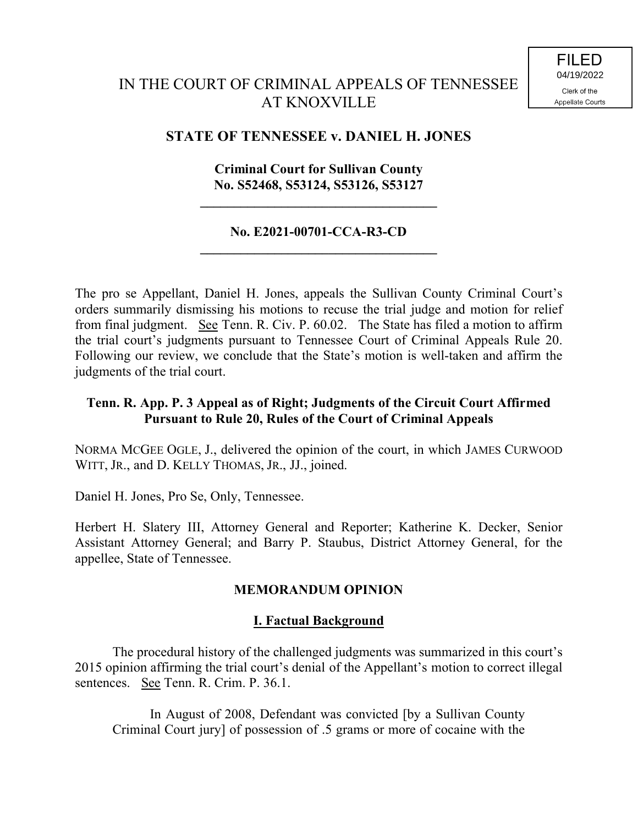# IN THE COURT OF CRIMINAL APPEALS OF TENNESSEE AT KNOXVILLE

## **STATE OF TENNESSEE v. DANIEL H. JONES**

#### **Criminal Court for Sullivan County No. S52468, S53124, S53126, S53127**

**\_\_\_\_\_\_\_\_\_\_\_\_\_\_\_\_\_\_\_\_\_\_\_\_\_\_\_\_\_\_\_\_\_\_\_**

#### **No. E2021-00701-CCA-R3-CD \_\_\_\_\_\_\_\_\_\_\_\_\_\_\_\_\_\_\_\_\_\_\_\_\_\_\_\_\_\_\_\_\_\_\_**

The pro se Appellant, Daniel H. Jones, appeals the Sullivan County Criminal Court's orders summarily dismissing his motions to recuse the trial judge and motion for relief from final judgment. See Tenn. R. Civ. P. 60.02. The State has filed a motion to affirm the trial court's judgments pursuant to Tennessee Court of Criminal Appeals Rule 20. Following our review, we conclude that the State's motion is well-taken and affirm the judgments of the trial court.

### **Tenn. R. App. P. 3 Appeal as of Right; Judgments of the Circuit Court Affirmed Pursuant to Rule 20, Rules of the Court of Criminal Appeals**

NORMA MCGEE OGLE, J., delivered the opinion of the court, in which JAMES CURWOOD WITT, JR., and D. KELLY THOMAS, JR., JJ., joined.

Daniel H. Jones, Pro Se, Only, Tennessee.

Herbert H. Slatery III, Attorney General and Reporter; Katherine K. Decker, Senior Assistant Attorney General; and Barry P. Staubus, District Attorney General, for the appellee, State of Tennessee.

### **MEMORANDUM OPINION**

### **I. Factual Background**

The procedural history of the challenged judgments was summarized in this court's 2015 opinion affirming the trial court's denial of the Appellant's motion to correct illegal sentences. See Tenn. R. Crim. P. 36.1.

In August of 2008, Defendant was convicted [by a Sullivan County Criminal Court jury] of possession of .5 grams or more of cocaine with the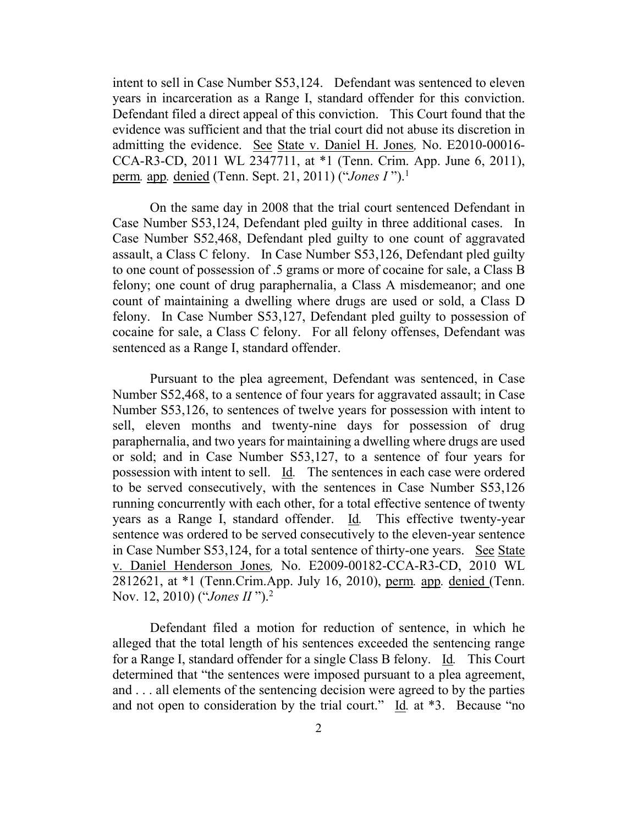intent to sell in Case Number S53,124. Defendant was sentenced to eleven years in incarceration as a Range I, standard offender for this conviction. Defendant filed a direct appeal of this conviction. This Court found that the evidence was sufficient and that the trial court did not abuse its discretion in admitting the evidence. See State v. Daniel H. Jones*,* No. E2010-00016- CCA-R3-CD, 2011 WL 2347711, at \*1 (Tenn. Crim. App. June 6, 2011), perm*.* app*.* denied (Tenn. Sept. 21, 2011) ("*Jones I* ").<sup>1</sup>

On the same day in 2008 that the trial court sentenced Defendant in Case Number S53,124, Defendant pled guilty in three additional cases. In Case Number S52,468, Defendant pled guilty to one count of aggravated assault, a Class C felony. In Case Number S53,126, Defendant pled guilty to one count of possession of .5 grams or more of cocaine for sale, a Class B felony; one count of drug paraphernalia, a Class A misdemeanor; and one count of maintaining a dwelling where drugs are used or sold, a Class D felony. In Case Number S53,127, Defendant pled guilty to possession of cocaine for sale, a Class C felony. For all felony offenses, Defendant was sentenced as a Range I, standard offender.

Pursuant to the plea agreement, Defendant was sentenced, in Case Number S52,468, to a sentence of four years for aggravated assault; in Case Number S53,126, to sentences of twelve years for possession with intent to sell, eleven months and twenty-nine days for possession of drug paraphernalia, and two years for maintaining a dwelling where drugs are used or sold; and in Case Number S53,127, to a sentence of four years for possession with intent to sell. Id*.* The sentences in each case were ordered to be served consecutively, with the sentences in Case Number S53,126 running concurrently with each other, for a total effective sentence of twenty years as a Range I, standard offender. Id*.* This effective twenty-year sentence was ordered to be served consecutively to the eleven-year sentence in Case Number S53,124, for a total sentence of thirty-one years. See State v. Daniel Henderson Jones*,* No. E2009-00182-CCA-R3-CD, 2010 WL 2812621, at \*1 (Tenn.Crim.App. July 16, 2010), perm*.* app*.* denied (Tenn. Nov. 12, 2010) ("*Jones II* ").<sup>2</sup>

Defendant filed a motion for reduction of sentence, in which he alleged that the total length of his sentences exceeded the sentencing range for a Range I, standard offender for a single Class B felony. Id*.* This Court determined that "the sentences were imposed pursuant to a plea agreement, and . . . all elements of the sentencing decision were agreed to by the parties and not open to consideration by the trial court." Id*.* at \*3. Because "no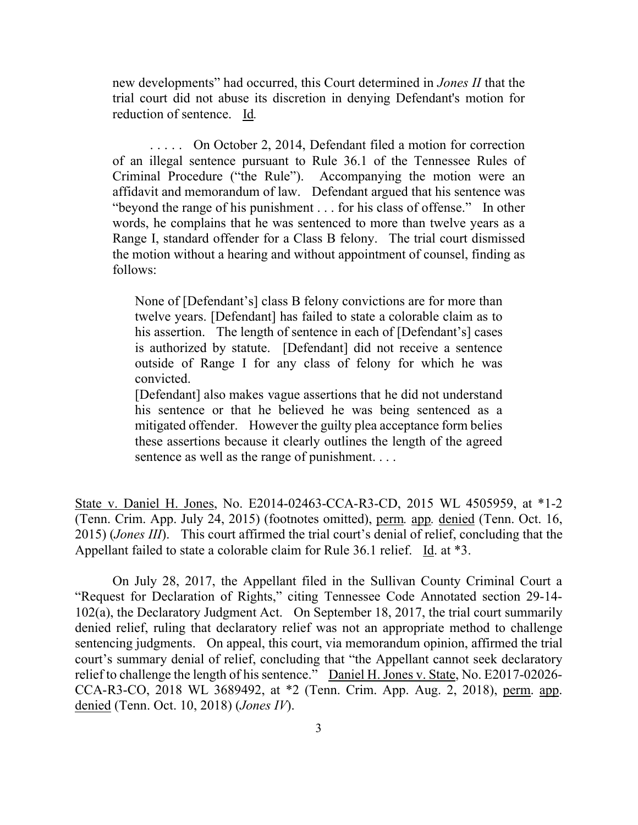new developments" had occurred, this Court determined in *Jones II* that the trial court did not abuse its discretion in denying Defendant's motion for reduction of sentence. Id*.*

. . . . . On October 2, 2014, Defendant filed a motion for correction of an illegal sentence pursuant to Rule 36.1 of the Tennessee Rules of Criminal Procedure ("the Rule"). Accompanying the motion were an affidavit and memorandum of law. Defendant argued that his sentence was "beyond the range of his punishment . . . for his class of offense." In other words, he complains that he was sentenced to more than twelve years as a Range I, standard offender for a Class B felony. The trial court dismissed the motion without a hearing and without appointment of counsel, finding as follows:

None of [Defendant's] class B felony convictions are for more than twelve years. [Defendant] has failed to state a colorable claim as to his assertion. The length of sentence in each of [Defendant's] cases is authorized by statute. [Defendant] did not receive a sentence outside of Range I for any class of felony for which he was convicted.

[Defendant] also makes vague assertions that he did not understand his sentence or that he believed he was being sentenced as a mitigated offender. However the guilty plea acceptance form belies these assertions because it clearly outlines the length of the agreed sentence as well as the range of punishment. . . .

State v. Daniel H. Jones, No. E2014-02463-CCA-R3-CD, 2015 WL 4505959, at \*1-2 (Tenn. Crim. App. July 24, 2015) (footnotes omitted), perm*.* app*.* denied (Tenn. Oct. 16, 2015) (*Jones III*). This court affirmed the trial court's denial of relief, concluding that the Appellant failed to state a colorable claim for Rule 36.1 relief. Id. at \*3.

On July 28, 2017, the Appellant filed in the Sullivan County Criminal Court a "Request for Declaration of Rights," citing Tennessee Code Annotated section 29-14- 102(a), the Declaratory Judgment Act. On September 18, 2017, the trial court summarily denied relief, ruling that declaratory relief was not an appropriate method to challenge sentencing judgments. On appeal, this court, via memorandum opinion, affirmed the trial court's summary denial of relief, concluding that "the Appellant cannot seek declaratory relief to challenge the length of his sentence." Daniel H. Jones v. State, No. E2017-02026- CCA-R3-CO, 2018 WL 3689492, at \*2 (Tenn. Crim. App. Aug. 2, 2018), perm. app. denied (Tenn. Oct. 10, 2018) (*Jones IV*).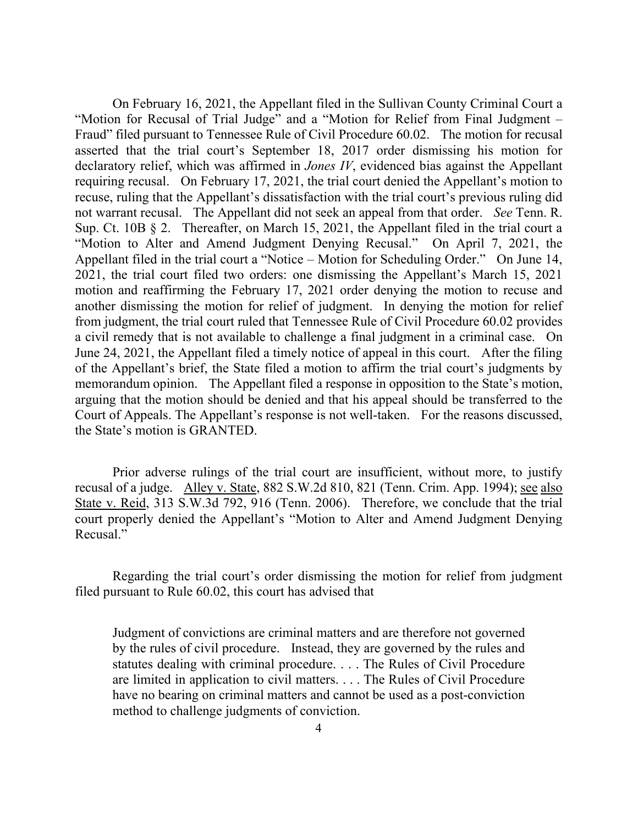On February 16, 2021, the Appellant filed in the Sullivan County Criminal Court a "Motion for Recusal of Trial Judge" and a "Motion for Relief from Final Judgment – Fraud" filed pursuant to Tennessee Rule of Civil Procedure 60.02. The motion for recusal asserted that the trial court's September 18, 2017 order dismissing his motion for declaratory relief, which was affirmed in *Jones IV*, evidenced bias against the Appellant requiring recusal. On February 17, 2021, the trial court denied the Appellant's motion to recuse, ruling that the Appellant's dissatisfaction with the trial court's previous ruling did not warrant recusal. The Appellant did not seek an appeal from that order. *See* Tenn. R. Sup. Ct. 10B § 2. Thereafter, on March 15, 2021, the Appellant filed in the trial court a "Motion to Alter and Amend Judgment Denying Recusal." On April 7, 2021, the Appellant filed in the trial court a "Notice – Motion for Scheduling Order." On June 14, 2021, the trial court filed two orders: one dismissing the Appellant's March 15, 2021 motion and reaffirming the February 17, 2021 order denying the motion to recuse and another dismissing the motion for relief of judgment. In denying the motion for relief from judgment, the trial court ruled that Tennessee Rule of Civil Procedure 60.02 provides a civil remedy that is not available to challenge a final judgment in a criminal case. On June 24, 2021, the Appellant filed a timely notice of appeal in this court. After the filing of the Appellant's brief, the State filed a motion to affirm the trial court's judgments by memorandum opinion. The Appellant filed a response in opposition to the State's motion, arguing that the motion should be denied and that his appeal should be transferred to the Court of Appeals. The Appellant's response is not well-taken. For the reasons discussed, the State's motion is GRANTED.

Prior adverse rulings of the trial court are insufficient, without more, to justify recusal of a judge. Alley v. State, 882 S.W.2d 810, 821 (Tenn. Crim. App. 1994); see also State v. Reid, 313 S.W.3d 792, 916 (Tenn. 2006). Therefore, we conclude that the trial court properly denied the Appellant's "Motion to Alter and Amend Judgment Denying Recusal."

Regarding the trial court's order dismissing the motion for relief from judgment filed pursuant to Rule 60.02, this court has advised that

Judgment of convictions are criminal matters and are therefore not governed by the rules of civil procedure. Instead, they are governed by the rules and statutes dealing with criminal procedure. . . . The Rules of Civil Procedure are limited in application to civil matters. . . . The Rules of Civil Procedure have no bearing on criminal matters and cannot be used as a post-conviction method to challenge judgments of conviction.